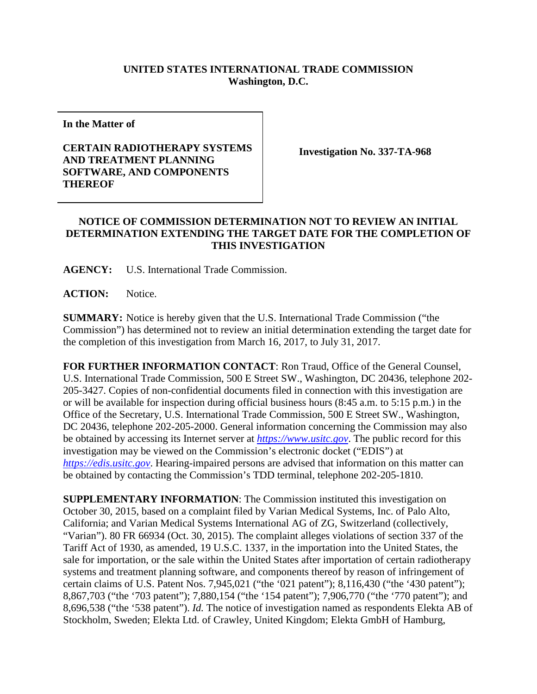## **UNITED STATES INTERNATIONAL TRADE COMMISSION Washington, D.C.**

**In the Matter of**

## **CERTAIN RADIOTHERAPY SYSTEMS AND TREATMENT PLANNING SOFTWARE, AND COMPONENTS THEREOF**

**Investigation No. 337-TA-968**

## **NOTICE OF COMMISSION DETERMINATION NOT TO REVIEW AN INITIAL DETERMINATION EXTENDING THE TARGET DATE FOR THE COMPLETION OF THIS INVESTIGATION**

**AGENCY:** U.S. International Trade Commission.

**ACTION:** Notice.

**SUMMARY:** Notice is hereby given that the U.S. International Trade Commission ("the Commission") has determined not to review an initial determination extending the target date for the completion of this investigation from March 16, 2017, to July 31, 2017.

**FOR FURTHER INFORMATION CONTACT**: Ron Traud, Office of the General Counsel, U.S. International Trade Commission, 500 E Street SW., Washington, DC 20436, telephone 202- 205-3427. Copies of non-confidential documents filed in connection with this investigation are or will be available for inspection during official business hours (8:45 a.m. to 5:15 p.m.) in the Office of the Secretary, U.S. International Trade Commission, 500 E Street SW., Washington, DC 20436, telephone 202-205-2000. General information concerning the Commission may also be obtained by accessing its Internet server at *[https://www.usitc.gov](https://www.usitc.gov/)*. The public record for this investigation may be viewed on the Commission's electronic docket ("EDIS") at *[https://edis.usitc.gov](https://edis.usitc.gov/)*. Hearing-impaired persons are advised that information on this matter can be obtained by contacting the Commission's TDD terminal, telephone 202-205-1810.

**SUPPLEMENTARY INFORMATION**: The Commission instituted this investigation on October 30, 2015, based on a complaint filed by Varian Medical Systems, Inc. of Palo Alto, California; and Varian Medical Systems International AG of ZG, Switzerland (collectively, "Varian"). 80 FR 66934 (Oct. 30, 2015). The complaint alleges violations of section 337 of the Tariff Act of 1930, as amended, 19 U.S.C. 1337, in the importation into the United States, the sale for importation, or the sale within the United States after importation of certain radiotherapy systems and treatment planning software, and components thereof by reason of infringement of certain claims of U.S. Patent Nos. 7,945,021 ("the '021 patent"); 8,116,430 ("the '430 patent"); 8,867,703 ("the '703 patent"); 7,880,154 ("the '154 patent"); 7,906,770 ("the '770 patent"); and 8,696,538 ("the '538 patent"). *Id.* The notice of investigation named as respondents Elekta AB of Stockholm, Sweden; Elekta Ltd. of Crawley, United Kingdom; Elekta GmbH of Hamburg,